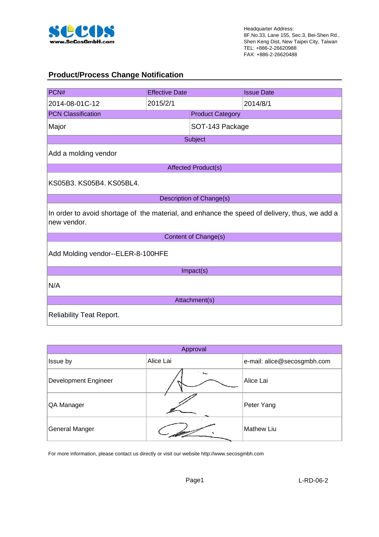

#### **Product/Process Change Notification**

| PCN#                                                                                                         | <b>Effective Date</b> |                            | <b>Issue Date</b> |  |  |
|--------------------------------------------------------------------------------------------------------------|-----------------------|----------------------------|-------------------|--|--|
| 2014-08-01C-12                                                                                               | 2015/2/1              |                            | 2014/8/1          |  |  |
| <b>PCN Classification</b>                                                                                    |                       | <b>Product Category</b>    |                   |  |  |
| Major                                                                                                        |                       | SOT-143 Package            |                   |  |  |
|                                                                                                              |                       | Subject                    |                   |  |  |
| Add a molding vendor                                                                                         |                       |                            |                   |  |  |
|                                                                                                              |                       | <b>Affected Product(s)</b> |                   |  |  |
| KS05B3, KS05B4, KS05BL4,                                                                                     |                       |                            |                   |  |  |
|                                                                                                              |                       | Description of Change(s)   |                   |  |  |
| In order to avoid shortage of the material, and enhance the speed of delivery, thus, we add a<br>new vendor. |                       |                            |                   |  |  |
|                                                                                                              |                       | Content of Change(s)       |                   |  |  |
| Add Molding vendor--ELER-8-100HFE                                                                            |                       |                            |                   |  |  |
|                                                                                                              | Impact(s)             |                            |                   |  |  |
| N/A                                                                                                          |                       |                            |                   |  |  |
| Attachment(s)                                                                                                |                       |                            |                   |  |  |
| <b>Reliability Teat Report.</b>                                                                              |                       |                            |                   |  |  |

| Approval              |           |                             |  |  |
|-----------------------|-----------|-----------------------------|--|--|
| Issue by              | Alice Lai | e-mail: alice@secosgmbh.com |  |  |
| Development Engineer  |           | Alice Lai                   |  |  |
| QA Manager            |           | Peter Yang                  |  |  |
| <b>General Manger</b> |           | <b>Mathew Liu</b>           |  |  |

For more information, please contact us directly or visit our website http://www.secosgmbh.com

Page1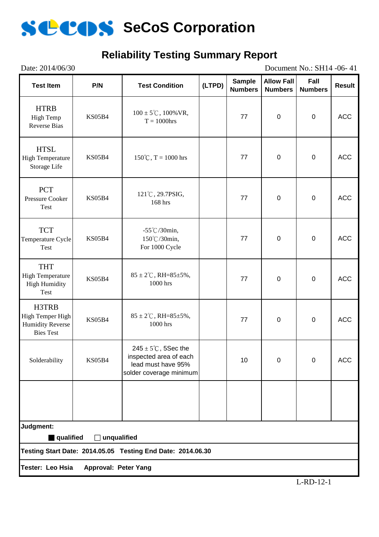

### **Reliability Testing Summary Report**

| Date: 2014/06/30<br>Document No.: SH14 -06-41                                                  |               |                                                                                                            |        |                                 |                                     |                        |               |
|------------------------------------------------------------------------------------------------|---------------|------------------------------------------------------------------------------------------------------------|--------|---------------------------------|-------------------------------------|------------------------|---------------|
| <b>Test Item</b>                                                                               | P/N           | <b>Test Condition</b>                                                                                      | (LTPD) | <b>Sample</b><br><b>Numbers</b> | <b>Allow Fall</b><br><b>Numbers</b> | Fall<br><b>Numbers</b> | <b>Result</b> |
| <b>HTRB</b><br>High Temp<br><b>Reverse Bias</b>                                                | <b>KS05B4</b> | $100 \pm 5^{\circ}$ C, $100\%$ VR,<br>$T = 1000$ hrs                                                       |        | 77                              | $\pmb{0}$                           | $\pmb{0}$              | <b>ACC</b>    |
| <b>HTSL</b><br><b>High Temperature</b><br>Storage Life                                         | KS05B4        | $150^{\circ}$ C, T = 1000 hrs                                                                              |        | 77                              | $\pmb{0}$                           | $\pmb{0}$              | <b>ACC</b>    |
| <b>PCT</b><br>Pressure Cooker<br>Test                                                          | <b>KS05B4</b> | 121°C, 29.7PSIG,<br>168 hrs                                                                                |        | 77                              | $\pmb{0}$                           | $\pmb{0}$              | <b>ACC</b>    |
| <b>TCT</b><br>Temperature Cycle<br>Test                                                        | <b>KS05B4</b> | $-55^{\circ}$ C/30min,<br>150°C/30min,<br>For 1000 Cycle                                                   |        | 77                              | $\pmb{0}$                           | $\pmb{0}$              | <b>ACC</b>    |
| <b>THT</b><br><b>High Temperature</b><br><b>High Humidity</b><br>Test                          | KS05B4        | $85 \pm 2^{\circ}$ C, RH= $85 \pm 5\%$ ,<br>1000 hrs                                                       |        | 77                              | $\pmb{0}$                           | $\pmb{0}$              | <b>ACC</b>    |
| H3TRB<br>High Temper High<br><b>Humidity Reverse</b><br><b>Bies Test</b>                       | <b>KS05B4</b> | $85 \pm 2^{\circ}$ C, RH= $85 \pm 5\%$ ,<br>1000 hrs                                                       |        | 77                              | $\pmb{0}$                           | $\pmb{0}$              | <b>ACC</b>    |
| Solderability                                                                                  | <b>KS05B4</b> | $245 \pm 5^{\circ}$ C, 5Sec the<br>inspected area of each<br>lead must have 95%<br>solder coverage minimum |        | 10                              | $\mathbf 0$                         | $\Omega$               | <b>ACC</b>    |
|                                                                                                |               |                                                                                                            |        |                                 |                                     |                        |               |
| Judgment:                                                                                      |               |                                                                                                            |        |                                 |                                     |                        |               |
| qualified<br>$\Box$ unqualified<br>Testing Start Date: 2014.05.05 Testing End Date: 2014.06.30 |               |                                                                                                            |        |                                 |                                     |                        |               |
|                                                                                                |               |                                                                                                            |        |                                 |                                     |                        |               |
| Tester: Leo Hsia<br>Approval: Peter Yang                                                       |               |                                                                                                            |        |                                 |                                     |                        |               |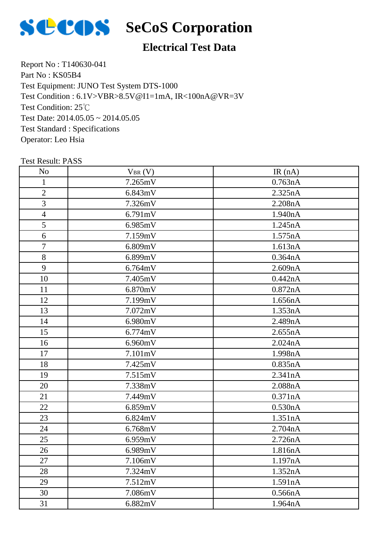

# **SCOS** SeCoS Corporation

### **Electrical Test Data**

Report No : T140630-041 Part No: KS05B4 Test Equipment: JUNO Test System DTS-1000 Test Condition: 25℃ Test Date: 2014.05.05 ~ 2014.05.05 Test Standard : Specifications Operator: Leo Hsia Test Condition : 6.1V>VBR>8.5V@I1=1mA, IR<100nA@VR=3V

| N <sub>o</sub>           | $V_{BR}(V)$ | IR(nA)  |
|--------------------------|-------------|---------|
| $\mathbf{1}$             | 7.265mV     | 0.763nA |
| $\mathbf{2}$             | 6.843mV     | 2.325nA |
| 3                        | 7.326mV     | 2.208nA |
| $\overline{\mathcal{A}}$ | 6.791mV     | 1.940nA |
| 5                        | 6.985mV     | 1.245nA |
| 6                        | 7.159mV     | 1.575nA |
| 7                        | 6.809mV     | 1.613nA |
| $8\,$                    | 6.899mV     | 0.364nA |
| 9                        | 6.764mV     | 2.609nA |
| 10                       | 7.405mV     | 0.442nA |
| 11                       | 6.870mV     | 0.872nA |
| 12                       | 7.199mV     | 1.656nA |
| 13                       | 7.072mV     | 1.353nA |
| 14                       | 6.980mV     | 2.489nA |
| 15                       | 6.774mV     | 2.655nA |
| 16                       | 6.960mV     | 2.024nA |
| 17                       | 7.101mV     | 1.998nA |
| 18                       | 7.425mV     | 0.835nA |
| 19                       | 7.515mV     | 2.341nA |
| 20                       | 7.338mV     | 2.088nA |
| 21                       | 7.449mV     | 0.371nA |
| 22                       | 6.859mV     | 0.530nA |
| 23                       | 6.824mV     | 1.351nA |
| 24                       | 6.768mV     | 2.704nA |
| 25                       | 6.959mV     | 2.726nA |
| 26                       | 6.989mV     | 1.816nA |
| 27                       | 7.106mV     | 1.197nA |
| 28                       | 7.324mV     | 1.352nA |
| 29                       | 7.512mV     | 1.591nA |
| 30                       | 7.086mV     | 0.566nA |
| 31                       | 6.882mV     | 1.964nA |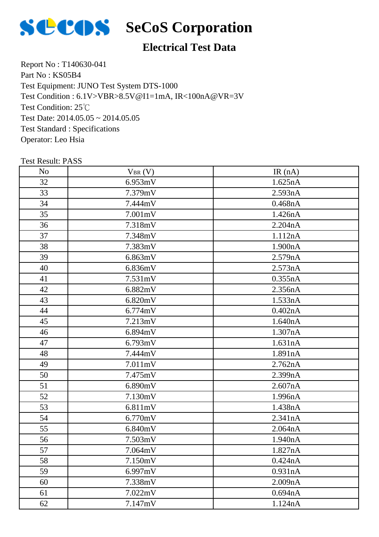

# **SCOS** SeCoS Corporation

### **Electrical Test Data**

Report No : T140630-041 Part No: KS05B4 Test Equipment: JUNO Test System DTS-1000 Test Condition: 25℃ Test Date: 2014.05.05 ~ 2014.05.05 Test Standard : Specifications Operator: Leo Hsia Test Condition : 6.1V>VBR>8.5V@I1=1mA, IR<100nA@VR=3V

| N <sub>o</sub> | $V_{BR} (V)$ | IR(nA)  |
|----------------|--------------|---------|
| 32             | 6.953mV      | 1.625nA |
| 33             | 7.379mV      | 2.593nA |
| 34             | 7.444mV      | 0.468nA |
| 35             | 7.001mV      | 1.426nA |
| 36             | 7.318mV      | 2.204nA |
| 37             | 7.348mV      | 1.112nA |
| 38             | 7.383mV      | 1.900nA |
| 39             | 6.863mV      | 2.579nA |
| 40             | 6.836mV      | 2.573nA |
| 41             | 7.531mV      | 0.355nA |
| 42             | 6.882mV      | 2.356nA |
| 43             | 6.820mV      | 1.533nA |
| 44             | 6.774mV      | 0.402nA |
| 45             | 7.213mV      | 1.640nA |
| 46             | 6.894mV      | 1.307nA |
| 47             | 6.793mV      | 1.631nA |
| 48             | 7.444mV      | 1.891nA |
| 49             | 7.011mV      | 2.762nA |
| 50             | 7.475mV      | 2.399nA |
| 51             | 6.890mV      | 2.607nA |
| 52             | 7.130mV      | 1.996nA |
| 53             | 6.811mV      | 1.438nA |
| 54             | 6.770mV      | 2.341nA |
| 55             | 6.840mV      | 2.064nA |
| 56             | 7.503mV      | 1.940nA |
| 57             | 7.064mV      | 1.827nA |
| 58             | 7.150mV      | 0.424nA |
| 59             | 6.997mV      | 0.931nA |
| 60             | 7.338mV      | 2.009nA |
| 61             | 7.022mV      | 0.694nA |
| 62             | 7.147mV      | 1.124nA |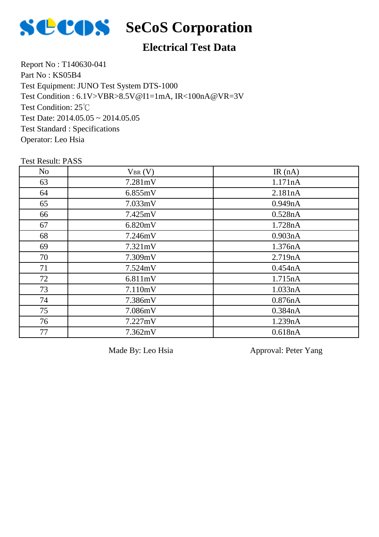

#### **Electrical Test Data**

Report No : T140630-041 Part No : KS05B4 Test Equipment: JUNO Test System DTS-1000 Test Condition: 25℃ Test Date: 2014.05.05 ~ 2014.05.05 Test Standard : Specifications Operator: Leo Hsia Test Condition : 6.1V>VBR>8.5V@I1=1mA, IR<100nA@VR=3V

#### Test Result: PASS

| N <sub>o</sub> | $V_{BR}(V)$ | IR $(nA)$ |
|----------------|-------------|-----------|
| 63             | 7.281mV     | 1.171nA   |
| 64             | 6.855mV     | 2.181nA   |
| 65             | 7.033mV     | 0.949nA   |
| 66             | 7.425mV     | 0.528nA   |
| 67             | 6.820mV     | 1.728nA   |
| 68             | 7.246mV     | 0.903nA   |
| 69             | 7.321mV     | 1.376nA   |
| 70             | 7.309mV     | 2.719nA   |
| 71             | 7.524mV     | 0.454nA   |
| 72             | 6.811mV     | 1.715nA   |
| 73             | 7.110mV     | 1.033nA   |
| 74             | 7.386mV     | 0.876nA   |
| 75             | 7.086mV     | 0.384nA   |
| 76             | 7.227mV     | 1.239nA   |
| 77             | 7.362mV     | 0.618nA   |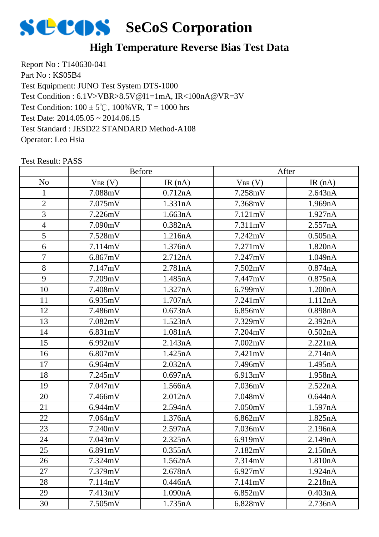

#### **High Temperature Reverse Bias Test Data**

Report No : T140630-041 Part No: KS05B4 Test Equipment: JUNO Test System DTS-1000 Test Condition:  $100 \pm 5^{\circ}$ C,  $100\%$  VR, T = 1000 hrs Test Date: 2014.05.05 ~ 2014.06.15 Test Standard : JESD22 STANDARD Method-A108 Operator: Leo Hsia Test Condition : 6.1V>VBR>8.5V@I1=1mA, IR<100nA@VR=3V

|                |             | <b>Before</b> |             | After   |
|----------------|-------------|---------------|-------------|---------|
| N <sub>o</sub> | $V_{BR}(V)$ | IR $(nA)$     | $V_{BR}(V)$ | IR(nA)  |
| 1              | 7.088mV     | 0.712nA       | 7.258mV     | 2.643nA |
| $\overline{2}$ | 7.075mV     | 1.331nA       | 7.368mV     | 1.969nA |
| 3              | 7.226mV     | 1.663nA       | 7.121mV     | 1.927nA |
| $\overline{4}$ | 7.090mV     | 0.382nA       | 7.311mV     | 2.557nA |
| 5              | 7.528mV     | 1.216nA       | 7.242mV     | 0.505nA |
| 6              | 7.114mV     | 1.376nA       | 7.271mV     | 1.820nA |
| $\overline{7}$ | 6.867mV     | 2.712nA       | 7.247mV     | 1.049nA |
| 8              | 7.147mV     | 2.781nA       | 7.502mV     | 0.874nA |
| 9              | 7.209mV     | 1.485nA       | 7.447mV     | 0.875nA |
| 10             | 7.408mV     | 1.327nA       | 6.799mV     | 1.200nA |
| 11             | 6.935mV     | 1.707nA       | 7.241mV     | 1.112nA |
| 12             | 7.486mV     | 0.673nA       | 6.856mV     | 0.898nA |
| 13             | 7.082mV     | 1.523nA       | 7.329mV     | 2.392nA |
| 14             | 6.831mV     | 1.081nA       | 7.204mV     | 0.502nA |
| 15             | 6.992mV     | 2.143nA       | 7.002mV     | 2.221nA |
| 16             | 6.807mV     | 1.425nA       | 7.421mV     | 2.714nA |
| 17             | 6.964mV     | 2.032nA       | 7.496mV     | 1.495nA |
| 18             | 7.245mV     | 0.697nA       | 6.913mV     | 1.958nA |
| 19             | 7.047mV     | 1.566nA       | 7.036mV     | 2.522nA |
| 20             | 7.466mV     | 2.012nA       | 7.048mV     | 0.644nA |
| 21             | 6.944mV     | 2.594nA       | 7.050mV     | 1.597nA |
| 22             | 7.064mV     | 1.376nA       | 6.862mV     | 1.825nA |
| 23             | 7.240mV     | 2.597nA       | 7.036mV     | 2.196nA |
| 24             | 7.043mV     | 2.325nA       | 6.919mV     | 2.149nA |
| 25             | 6.891mV     | 0.355nA       | 7.182mV     | 2.150nA |
| 26             | 7.324mV     | 1.562nA       | 7.314mV     | 1.810nA |
| 27             | 7.379mV     | 2.678nA       | 6.927mV     | 1.924nA |
| 28             | 7.114mV     | 0.446nA       | 7.141mV     | 2.218nA |
| 29             | 7.413mV     | 1.090nA       | 6.852mV     | 0.403nA |
| 30             | 7.505mV     | 1.735nA       | 6.828mV     | 2.736nA |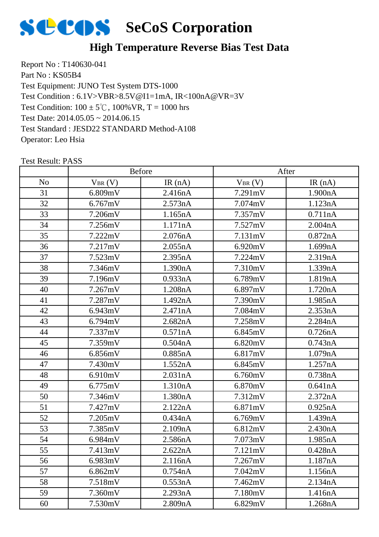

#### **High Temperature Reverse Bias Test Data**

Report No : T140630-041 Part No: KS05B4 Test Equipment: JUNO Test System DTS-1000 Test Condition:  $100 \pm 5^{\circ}$ C,  $100\%$  VR, T = 1000 hrs Test Date: 2014.05.05 ~ 2014.06.15 Test Standard : JESD22 STANDARD Method-A108 Operator: Leo Hsia Test Condition : 6.1V>VBR>8.5V@I1=1mA, IR<100nA@VR=3V

|                |             | <b>Before</b> |             | After   |
|----------------|-------------|---------------|-------------|---------|
| N <sub>o</sub> | $V_{BR}(V)$ | IR $(nA)$     | $V_{BR}(V)$ | IR(nA)  |
| 31             | 6.809mV     | 2.416nA       | 7.291mV     | 1.900nA |
| 32             | 6.767mV     | 2.573nA       | 7.074mV     | 1.123nA |
| 33             | 7.206mV     | 1.165nA       | 7.357mV     | 0.711nA |
| 34             | 7.256mV     | 1.171nA       | 7.527mV     | 2.004nA |
| 35             | 7.222mV     | 2.076nA       | 7.131mV     | 0.872nA |
| 36             | 7.217mV     | 2.055nA       | 6.920mV     | 1.699nA |
| 37             | 7.523mV     | 2.395nA       | 7.224mV     | 2.319nA |
| 38             | 7.346mV     | 1.390nA       | 7.310mV     | 1.339nA |
| 39             | 7.196mV     | 0.933nA       | 6.789mV     | 1.819nA |
| 40             | 7.267mV     | 1.208nA       | 6.897mV     | 1.720nA |
| 41             | 7.287mV     | 1.492nA       | 7.390mV     | 1.985nA |
| 42             | 6.943mV     | 2.471nA       | 7.084mV     | 2.353nA |
| 43             | 6.794mV     | 2.682nA       | 7.258mV     | 2.284nA |
| 44             | 7.337mV     | 0.571nA       | 6.845mV     | 0.726nA |
| 45             | 7.359mV     | 0.504nA       | 6.820mV     | 0.743nA |
| 46             | 6.856mV     | 0.885nA       | 6.817mV     | 1.079nA |
| 47             | 7.430mV     | 1.552nA       | 6.845mV     | 1.257nA |
| 48             | 6.910mV     | 2.031nA       | 6.760mV     | 0.738nA |
| 49             | 6.775mV     | 1.310nA       | 6.870mV     | 0.641nA |
| 50             | 7.346mV     | 1.380nA       | 7.312mV     | 2.372nA |
| 51             | 7.427mV     | 2.122nA       | 6.871mV     | 0.925nA |
| 52             | 7.205mV     | 0.434nA       | 6.769mV     | 1.439nA |
| 53             | 7.385mV     | 2.109nA       | 6.812mV     | 2.430nA |
| 54             | 6.984mV     | 2.586nA       | 7.073mV     | 1.985nA |
| 55             | 7.413mV     | 2.622nA       | 7.121mV     | 0.428nA |
| 56             | 6.983mV     | 2.116nA       | 7.267mV     | 1.187nA |
| 57             | 6.862mV     | 0.754nA       | 7.042mV     | 1.156nA |
| 58             | 7.518mV     | 0.553nA       | 7.462mV     | 2.134nA |
| 59             | 7.360mV     | 2.293nA       | 7.180mV     | 1.416nA |
| 60             | 7.530mV     | 2.809nA       | 6.829mV     | 1.268nA |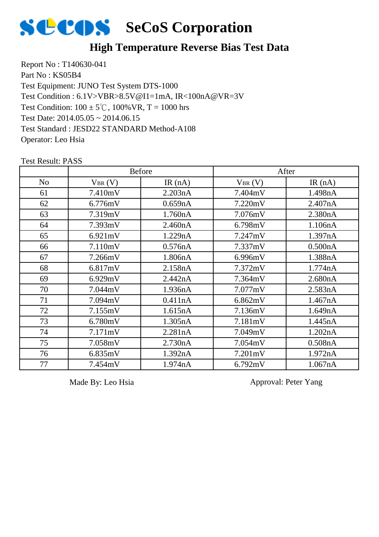

#### **High Temperature Reverse Bias Test Data**

Report No : T140630-041 Part No: KS05B4 Test Equipment: JUNO Test System DTS-1000 Test Condition:  $100 \pm 5^{\circ}$ C,  $100\%$  VR, T = 1000 hrs Test Date: 2014.05.05 ~ 2014.06.15 Test Standard : JESD22 STANDARD Method-A108 Operator: Leo Hsia Test Condition : 6.1V>VBR>8.5V@I1=1mA, IR<100nA@VR=3V

Test Result: PASS No  $V_{BR}(V)$  IR (nA)  $V_{BR}(V)$  IR (nA) Before After 7.410mV 2.203nA 7.404mV 1.498nA 6.776mV 0.659nA 7.220mV 2.407nA 7.319mV 1.760nA 7.076mV 2.380nA 7.393mV 2.460nA 6.798mV 1.106nA 6.921mV 1.229nA 7.247mV 1.397nA 66 | 7.110mV | 0.576nA | 7.337mV | 0.500nA 67 | 7.266mV | 1.806nA | 6.996mV | 1.388nA 6.817mV 2.158nA 7.372mV 1.774nA 6.929mV 2.442nA 7.364mV 2.680nA 7.044mV 1.936nA 7.077mV 2.583nA 71 | 7.094mV | 0.411nA | 6.862mV | 1.467nA 7.155mV 1.615nA 7.136mV 1.649nA 6.780mV 1.305nA 7.181mV 1.445nA 7.171mV 2.281nA 7.049mV 1.202nA 7.058mV 2.730nA 7.054mV 0.508nA 6.835mV 1.392nA 7.201mV 1.972nA 7.454mV 1.974nA 6.792mV 1.067nA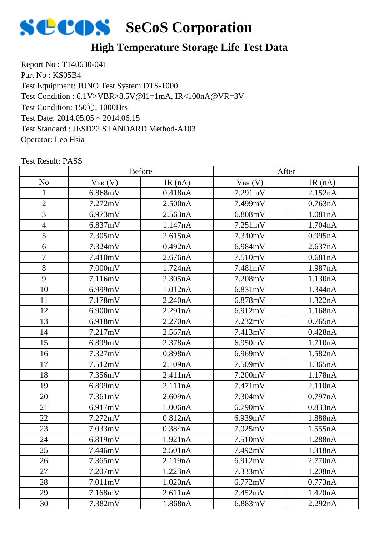

### **High Temperature Storage Life Test Data**

Report No : T140630-041 Part No : KS05B4 Test Equipment: JUNO Test System DTS-1000 Test Condition: 150℃, 1000Hrs Test Date: 2014.05.05 ~ 2014.06.15 Test Standard : JESD22 STANDARD Method-A103 Operator: Leo Hsia Test Condition : 6.1V>VBR>8.5V@I1=1mA, IR<100nA@VR=3V

|                |              | Before    |             | After     |
|----------------|--------------|-----------|-------------|-----------|
| N <sub>o</sub> | $V_{BR} (V)$ | IR $(nA)$ | $V_{BR}(V)$ | IR $(nA)$ |
| 1              | 6.868mV      | 0.418nA   | 7.291mV     | 2.152nA   |
| $\overline{2}$ | 7.272mV      | 2.500nA   | 7.499mV     | 0.763nA   |
| 3              | 6.973mV      | 2.563nA   | 6.808mV     | 1.081nA   |
| $\overline{4}$ | 6.837mV      | 1.147nA   | 7.251mV     | 1.704nA   |
| 5              | 7.305mV      | 2.615nA   | 7.340mV     | 0.995nA   |
| 6              | 7.324mV      | 0.492nA   | 6.984mV     | 2.637nA   |
| $\tau$         | 7.410mV      | 2.676nA   | 7.510mV     | 0.681nA   |
| 8              | 7.000mV      | 1.724nA   | 7.481mV     | 1.987nA   |
| 9              | 7.116mV      | 2.305nA   | 7.208mV     | 1.130nA   |
| 10             | 6.999mV      | 1.012nA   | 6.831mV     | 1.344nA   |
| 11             | 7.178mV      | 2.240nA   | 6.878mV     | 1.322nA   |
| 12             | 6.900mV      | 2.291nA   | 6.912mV     | 1.168nA   |
| 13             | 6.918mV      | 2.270nA   | 7.232mV     | 0.765nA   |
| 14             | 7.217mV      | 2.567nA   | 7.413mV     | 0.428nA   |
| 15             | 6.899mV      | 2.378nA   | 6.950mV     | 1.710nA   |
| 16             | 7.327mV      | 0.898nA   | 6.969mV     | 1.582nA   |
| 17             | 7.512mV      | 2.109nA   | 7.509mV     | 1.365nA   |
| 18             | 7.356mV      | 2.411nA   | 7.200mV     | 1.178nA   |
| 19             | 6.899mV      | 2.111nA   | 7.471mV     | 2.110nA   |
| 20             | 7.361mV      | 2.609nA   | 7.304mV     | 0.797nA   |
| 21             | 6.917mV      | 1.006nA   | 6.790mV     | 0.833nA   |
| 22             | 7.272mV      | 0.812nA   | 6.939mV     | 1.888nA   |
| 23             | 7.033mV      | 0.384nA   | 7.025mV     | 1.555nA   |
| 24             | 6.819mV      | 1.921nA   | 7.510mV     | 1.288nA   |
| 25             | 7.446mV      | 2.501nA   | 7.492mV     | 1.318nA   |
| 26             | 7.365mV      | 2.119nA   | 6.912mV     | 2.770nA   |
| 27             | 7.207mV      | 1.223nA   | 7.333mV     | 1.208nA   |
| 28             | 7.011mV      | 1.020nA   | 6.772mV     | 0.773nA   |
| 29             | 7.168mV      | 2.611nA   | 7.452mV     | 1.420nA   |
| 30             | 7.382mV      | 1.868nA   | 6.883mV     | 2.292nA   |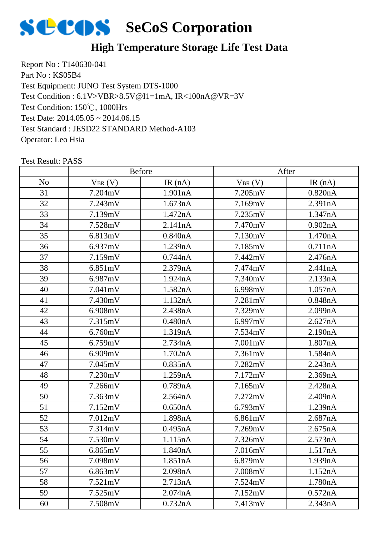

### **High Temperature Storage Life Test Data**

Report No : T140630-041 Part No : KS05B4 Test Equipment: JUNO Test System DTS-1000 Test Condition: 150℃, 1000Hrs Test Date: 2014.05.05 ~ 2014.06.15 Test Standard : JESD22 STANDARD Method-A103 Operator: Leo Hsia Test Condition : 6.1V>VBR>8.5V@I1=1mA, IR<100nA@VR=3V

|                |             | <b>Before</b> |             | After     |
|----------------|-------------|---------------|-------------|-----------|
| N <sub>o</sub> | $V_{BR}(V)$ | IR $(nA)$     | $V_{BR}(V)$ | IR $(nA)$ |
| 31             | 7.204mV     | 1.901nA       | 7.205mV     | 0.820nA   |
| 32             | 7.243mV     | 1.673nA       | 7.169mV     | 2.391nA   |
| 33             | 7.139mV     | 1.472nA       | 7.235mV     | 1.347nA   |
| 34             | 7.528mV     | 2.141nA       | 7.470mV     | 0.902nA   |
| 35             | 6.813mV     | 0.840nA       | 7.130mV     | 1.470nA   |
| 36             | 6.937mV     | 1.239nA       | 7.185mV     | 0.711nA   |
| 37             | 7.159mV     | 0.744nA       | 7.442mV     | 2.476nA   |
| 38             | 6.851mV     | 2.379nA       | 7.474mV     | 2.441nA   |
| 39             | 6.987mV     | 1.924nA       | 7.340mV     | 2.133nA   |
| 40             | 7.041mV     | 1.582nA       | 6.998mV     | 1.057nA   |
| 41             | 7.430mV     | 1.132nA       | 7.281mV     | 0.848nA   |
| 42             | 6.908mV     | 2.438nA       | 7.329mV     | 2.099nA   |
| 43             | 7.315mV     | 0.480nA       | 6.997mV     | 2.627nA   |
| 44             | 6.760mV     | 1.319nA       | 7.534mV     | 2.190nA   |
| 45             | 6.759mV     | 2.734nA       | 7.001mV     | 1.807nA   |
| 46             | 6.909mV     | 1.702nA       | 7.361mV     | 1.584nA   |
| 47             | 7.045mV     | 0.835nA       | 7.282mV     | 2.243nA   |
| 48             | 7.230mV     | 1.259nA       | 7.172mV     | 2.369nA   |
| 49             | 7.266mV     | 0.789nA       | 7.165mV     | 2.428nA   |
| 50             | 7.363mV     | 2.564nA       | 7.272mV     | 2.409nA   |
| 51             | 7.152mV     | 0.650nA       | 6.793mV     | 1.239nA   |
| 52             | 7.012mV     | 1.898nA       | 6.861mV     | 2.687nA   |
| 53             | 7.314mV     | 0.495nA       | 7.269mV     | 2.675nA   |
| 54             | 7.530mV     | 1.115nA       | 7.326mV     | 2.573nA   |
| 55             | 6.865mV     | 1.840nA       | 7.016mV     | 1.517nA   |
| 56             | 7.098mV     | 1.851nA       | 6.879mV     | 1.939nA   |
| 57             | 6.863mV     | 2.098nA       | 7.008mV     | 1.152nA   |
| 58             | 7.521mV     | 2.713nA       | 7.524mV     | 1.780nA   |
| 59             | 7.525mV     | 2.074nA       | 7.152mV     | 0.572nA   |
| 60             | 7.508mV     | 0.732nA       | 7.413mV     | 2.343nA   |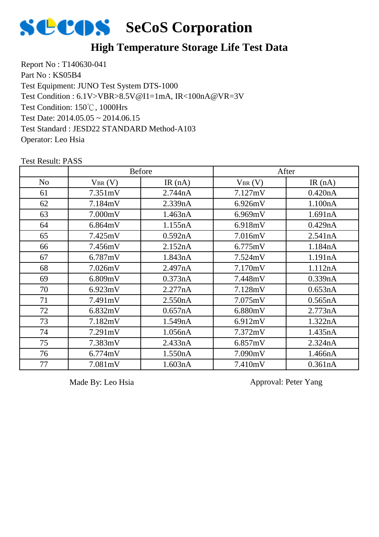

#### **High Temperature Storage Life Test Data**

Report No : T140630-041 Part No: KS05B4 Test Equipment: JUNO Test System DTS-1000 Test Condition: 150℃, 1000Hrs Test Date: 2014.05.05 ~ 2014.06.15 Test Standard : JESD22 STANDARD Method-A103 Operator: Leo Hsia Test Condition : 6.1V>VBR>8.5V@I1=1mA, IR<100nA@VR=3V

|                |             | <b>Before</b> |             | After     |
|----------------|-------------|---------------|-------------|-----------|
| N <sub>o</sub> | $V_{BR}(V)$ | IR $(nA)$     | $V_{BR}(V)$ | IR $(nA)$ |
| 61             | 7.351mV     | 2.744nA       | 7.127mV     | 0.420nA   |
| 62             | 7.184mV     | 2.339nA       | 6.926mV     | 1.100nA   |
| 63             | 7.000mV     | 1.463nA       | 6.969mV     | 1.691nA   |
| 64             | 6.864mV     | 1.155nA       | 6.918mV     | 0.429nA   |
| 65             | 7.425mV     | 0.592nA       | 7.016mV     | 2.541nA   |
| 66             | 7.456mV     | 2.152nA       | 6.775mV     | 1.184nA   |
| 67             | 6.787mV     | 1.843nA       | 7.524mV     | 1.191nA   |
| 68             | 7.026mV     | 2.497nA       | 7.170mV     | 1.112nA   |
| 69             | 6.809mV     | 0.373nA       | 7.448mV     | 0.339nA   |
| 70             | 6.923mV     | 2.277nA       | 7.128mV     | 0.653nA   |
| 71             | 7.491mV     | 2.550nA       | 7.075mV     | 0.565nA   |
| 72             | 6.832mV     | 0.657nA       | 6.880mV     | 2.773nA   |
| 73             | 7.182mV     | 1.549nA       | 6.912mV     | 1.322nA   |
| 74             | 7.291mV     | 1.056nA       | 7.372mV     | 1.435nA   |
| 75             | 7.383mV     | 2.433nA       | 6.857mV     | 2.324nA   |
| 76             | 6.774mV     | 1.550nA       | 7.090mV     | 1.466nA   |
| 77             | 7.081mV     | 1.603nA       | 7.410mV     | 0.361nA   |

Test Result: PASS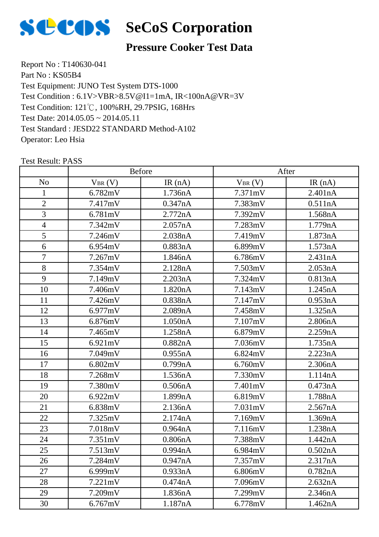

#### **Pressure Cooker Test Data**

Report No : T140630-041 Part No: KS05B4 Test Equipment: JUNO Test System DTS-1000 Test Condition: 121℃, 100%RH, 29.7PSIG, 168Hrs Test Date: 2014.05.05 ~ 2014.05.11 Test Standard : JESD22 STANDARD Method-A102 Operator: Leo Hsia Test Condition : 6.1V>VBR>8.5V@I1=1mA, IR<100nA@VR=3V

|                |             | <b>Before</b> |             | After   |
|----------------|-------------|---------------|-------------|---------|
| N <sub>o</sub> | $V_{BR}(V)$ | IR $(nA)$     | $V_{BR}(V)$ | IR(nA)  |
| $\mathbf{1}$   | 6.782mV     | 1.736nA       | 7.371mV     | 2.401nA |
| $\overline{2}$ | 7.417mV     | 0.347nA       | 7.383mV     | 0.511nA |
| 3              | 6.781mV     | 2.772nA       | 7.392mV     | 1.568nA |
| $\overline{4}$ | 7.342mV     | 2.057nA       | 7.283mV     | 1.779nA |
| 5              | 7.246mV     | 2.038nA       | 7.419mV     | 1.873nA |
| 6              | 6.954mV     | 0.883nA       | 6.899mV     | 1.573nA |
| $\overline{7}$ | 7.267mV     | 1.846nA       | 6.786mV     | 2.431nA |
| 8              | 7.354mV     | 2.128nA       | 7.503mV     | 2.053nA |
| 9              | 7.149mV     | 2.203nA       | 7.324mV     | 0.813nA |
| 10             | 7.406mV     | 1.820nA       | 7.143mV     | 1.245nA |
| 11             | 7.426mV     | 0.838nA       | 7.147mV     | 0.953nA |
| 12             | 6.977mV     | 2.089nA       | 7.458mV     | 1.325nA |
| 13             | 6.876mV     | 1.050nA       | 7.107mV     | 2.806nA |
| 14             | 7.465mV     | 1.258nA       | 6.879mV     | 2.259nA |
| 15             | 6.921mV     | 0.882nA       | 7.036mV     | 1.735nA |
| 16             | 7.049mV     | 0.955nA       | 6.824mV     | 2.223nA |
| 17             | 6.802mV     | 0.799nA       | 6.760mV     | 2.306nA |
| 18             | 7.268mV     | 1.536nA       | 7.330mV     | 1.114nA |
| 19             | 7.380mV     | 0.506nA       | 7.401mV     | 0.473nA |
| 20             | 6.922mV     | 1.899nA       | 6.819mV     | 1.788nA |
| 21             | 6.838mV     | 2.136nA       | 7.031mV     | 2.567nA |
| 22             | 7.325mV     | 2.174nA       | 7.169mV     | 1.369nA |
| 23             | 7.018mV     | 0.964nA       | 7.116mV     | 1.238nA |
| 24             | 7.351mV     | 0.806nA       | 7.388mV     | 1.442nA |
| 25             | 7.513mV     | 0.994nA       | 6.984mV     | 0.502nA |
| 26             | 7.284mV     | 0.947nA       | 7.357mV     | 2.317nA |
| 27             | 6.999mV     | 0.933nA       | 6.806mV     | 0.782nA |
| 28             | 7.221mV     | 0.474nA       | 7.096mV     | 2.632nA |
| 29             | 7.209mV     | 1.836nA       | 7.299mV     | 2.346nA |
| 30             | 6.767mV     | 1.187nA       | 6.778mV     | 1.462nA |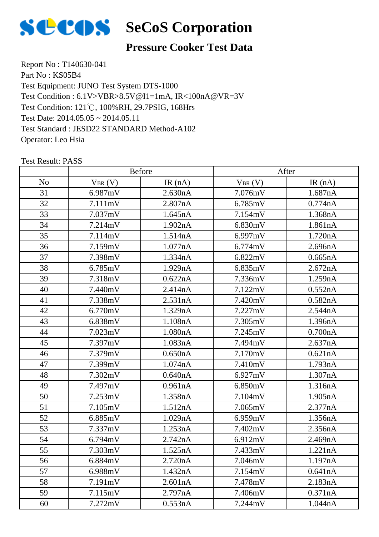

#### **Pressure Cooker Test Data**

Report No : T140630-041 Part No: KS05B4 Test Equipment: JUNO Test System DTS-1000 Test Condition: 121℃, 100%RH, 29.7PSIG, 168Hrs Test Date: 2014.05.05 ~ 2014.05.11 Test Standard : JESD22 STANDARD Method-A102 Operator: Leo Hsia Test Condition : 6.1V>VBR>8.5V@I1=1mA, IR<100nA@VR=3V

|                |             | <b>Before</b> |             | After   |
|----------------|-------------|---------------|-------------|---------|
| N <sub>0</sub> | $V_{BR}(V)$ | IR(nA)        | $V_{BR}(V)$ | IR(nA)  |
| 31             | 6.987mV     | 2.630nA       | 7.076mV     | 1.687nA |
| 32             | 7.111mV     | 2.807nA       | 6.785mV     | 0.774nA |
| 33             | 7.037mV     | 1.645nA       | 7.154mV     | 1.368nA |
| 34             | 7.214mV     | 1.902nA       | 6.830mV     | 1.861nA |
| 35             | 7.114mV     | 1.514nA       | 6.997mV     | 1.720nA |
| 36             | 7.159mV     | 1.077nA       | 6.774mV     | 2.696nA |
| 37             | 7.398mV     | 1.334nA       | 6.822mV     | 0.665nA |
| 38             | 6.785mV     | 1.929nA       | 6.835mV     | 2.672nA |
| 39             | 7.318mV     | 0.622nA       | 7.336mV     | 1.259nA |
| 40             | 7.440mV     | 2.414nA       | 7.122mV     | 0.552nA |
| 41             | 7.338mV     | 2.531nA       | 7.420mV     | 0.582nA |
| 42             | 6.770mV     | 1.329nA       | 7.227mV     | 2.544nA |
| 43             | 6.838mV     | 1.108nA       | 7.305mV     | 1.396nA |
| 44             | 7.023mV     | 1.080nA       | 7.245mV     | 0.700nA |
| 45             | 7.397mV     | 1.083nA       | 7.494mV     | 2.637nA |
| 46             | 7.379mV     | 0.650nA       | 7.170mV     | 0.621nA |
| 47             | 7.399mV     | 1.074nA       | 7.410mV     | 1.793nA |
| 48             | 7.302mV     | 0.640nA       | 6.927mV     | 1.307nA |
| 49             | 7.497mV     | 0.961nA       | 6.850mV     | 1.316nA |
| 50             | 7.253mV     | 1.358nA       | 7.104mV     | 1.905nA |
| 51             | 7.105mV     | 1.512nA       | 7.065mV     | 2.377nA |
| 52             | 6.885mV     | 1.029nA       | 6.959mV     | 1.356nA |
| 53             | 7.337mV     | 1.253nA       | 7.402mV     | 2.356nA |
| 54             | 6.794mV     | 2.742nA       | 6.912mV     | 2.469nA |
| 55             | 7.303mV     | 1.525nA       | 7.433mV     | 1.221nA |
| 56             | 6.884mV     | 2.720nA       | 7.046mV     | 1.197nA |
| 57             | 6.988mV     | 1.432nA       | 7.154mV     | 0.641nA |
| 58             | 7.191mV     | 2.601nA       | 7.478mV     | 2.183nA |
| 59             | 7.115mV     | 2.797nA       | 7.406mV     | 0.371nA |
| 60             | 7.272mV     | 0.553nA       | 7.244mV     | 1.044nA |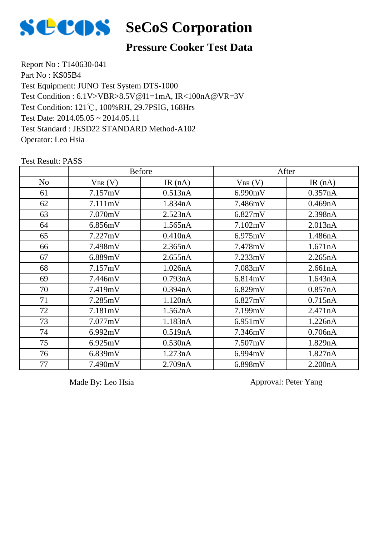

## **SCOS** SeCoS Corporation

#### **Pressure Cooker Test Data**

Report No : T140630-041 Part No: KS05B4 Test Equipment: JUNO Test System DTS-1000 Test Condition: 121℃, 100%RH, 29.7PSIG, 168Hrs Test Date: 2014.05.05 ~ 2014.05.11 Test Standard : JESD22 STANDARD Method-A102 Operator: Leo Hsia Test Condition : 6.1V>VBR>8.5V@I1=1mA, IR<100nA@VR=3V

Test Result: PASS No  $V_{BR}(V)$  IR (nA)  $V_{BR}(V)$  IR (nA) Before After 61 | 7.157mV | 0.513nA | 6.990mV | 0.357nA 62 | 7.111mV | 1.834nA | 7.486mV | 0.469nA 63 7.070mV 2.523nA 6.827mV 2.398nA 64 6.856mV 1.565nA 7.102mV 2.013nA 65 7.227mV 0.410nA 6.975mV 1.486nA 66 7.498mV 2.365nA 7.478mV 1.671nA 67 6.889mV 2.655nA 7.233mV 2.265nA 68 7.157mV 1.026nA 7.083mV 2.661nA 69 | 7.446mV | 0.793nA | 6.814mV | 1.643nA 70 | 7.419mV | 0.394nA | 6.829mV | 0.857nA 71 | 7.285mV | 1.120nA | 6.827mV | 0.715nA 72 7.181mV 1.562nA 7.199mV 2.471nA 73 7.077mV 1.183nA 6.951mV 1.226nA 74 | 6.992mV | 0.519nA | 7.346mV | 0.706nA 75 6.925mV 0.530nA 7.507mV 1.829nA 76 6.839mV 1.273nA 6.994mV 1.827nA 77 7.490mV 2.709nA 6.898mV 2.200nA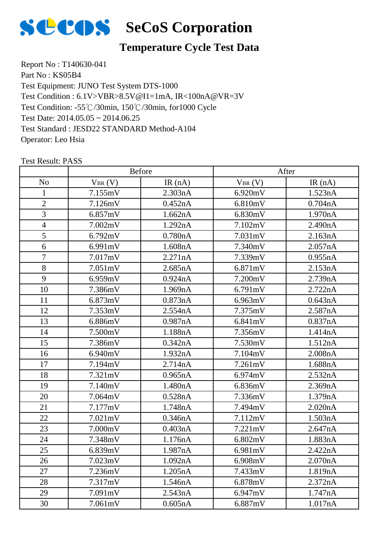

### **Temperature Cycle Test Data**

Report No : T140630-041 Part No: KS05B4 Test Equipment: JUNO Test System DTS-1000 Test Condition: -55℃/30min, 150℃/30min, for1000 Cycle Test Date: 2014.05.05 ~ 2014.06.25 Test Standard : JESD22 STANDARD Method-A104 Operator: Leo Hsia Test Condition : 6.1V>VBR>8.5V@I1=1mA, IR<100nA@VR=3V

|                |             | <b>Before</b> |             | After   |  |
|----------------|-------------|---------------|-------------|---------|--|
| N <sub>o</sub> | $V_{BR}(V)$ | IR $(nA)$     | $V_{BR}(V)$ | IR(nA)  |  |
| 1              | 7.155mV     | 2.303nA       | 6.920mV     | 1.523nA |  |
| $\overline{2}$ | 7.126mV     | 0.452nA       | 6.810mV     | 0.704nA |  |
| 3              | 6.857mV     | 1.662nA       | 6.830mV     | 1.970nA |  |
| $\overline{4}$ | 7.002mV     | 1.292nA       | 7.102mV     | 2.490nA |  |
| 5              | 6.792mV     | 0.780nA       | 7.031mV     | 2.163nA |  |
| 6              | 6.991mV     | 1.608nA       | 7.340mV     | 2.057nA |  |
| $\overline{7}$ | 7.017mV     | 2.271nA       | 7.339mV     | 0.955nA |  |
| 8              | 7.051mV     | 2.685nA       | 6.871mV     | 2.153nA |  |
| 9              | 6.959mV     | 0.924nA       | 7.200mV     | 2.739nA |  |
| 10             | 7.386mV     | 1.969nA       | 6.791mV     | 2.722nA |  |
| 11             | 6.873mV     | 0.873nA       | 6.963mV     | 0.643nA |  |
| 12             | 7.353mV     | 2.554nA       | 7.375mV     | 2.587nA |  |
| 13             | 6.886mV     | 0.987nA       | 6.841mV     | 0.837nA |  |
| 14             | 7.500mV     | 1.188nA       | 7.356mV     | 1.414nA |  |
| 15             | 7.386mV     | 0.342nA       | 7.530mV     | 1.512nA |  |
| 16             | 6.940mV     | 1.932nA       | 7.104mV     | 2.008nA |  |
| 17             | 7.194mV     | 2.714nA       | 7.261mV     | 1.688nA |  |
| 18             | 7.321mV     | 0.965nA       | 6.974mV     | 2.532nA |  |
| 19             | 7.140mV     | 1.480nA       | 6.836mV     | 2.369nA |  |
| 20             | 7.064mV     | 0.528nA       | 7.336mV     | 1.379nA |  |
| 21             | 7.177mV     | 1.748nA       | 7.494mV     | 2.020nA |  |
| 22             | 7.021mV     | 0.346nA       | 7.112mV     | 1.503nA |  |
| 23             | 7.000mV     | 0.403nA       | 7.221mV     | 2.647nA |  |
| 24             | 7.348mV     | 1.176nA       | 6.802mV     | 1.883nA |  |
| 25             | 6.839mV     | 1.987nA       | 6.981mV     | 2.422nA |  |
| 26             | 7.023mV     | 1.092nA       | 6.908mV     | 2.070nA |  |
| 27             | 7.236mV     | 1.205nA       | 7.433mV     | 1.819nA |  |
| 28             | 7.317mV     | 1.546nA       | 6.878mV     | 2.372nA |  |
| 29             | 7.091mV     | 2.543nA       | 6.947mV     | 1.747nA |  |
| 30             | 7.061mV     | 0.605nA       | 6.887mV     | 1.017nA |  |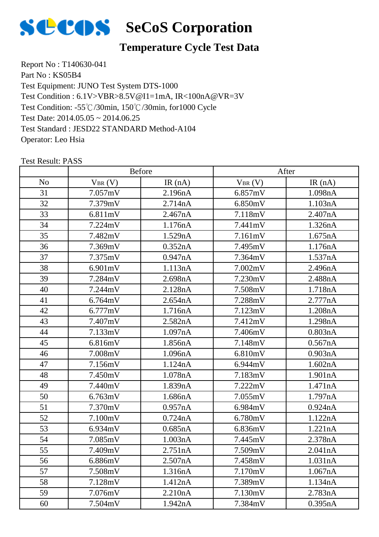

### **Temperature Cycle Test Data**

Report No : T140630-041 Part No: KS05B4 Test Equipment: JUNO Test System DTS-1000 Test Condition: -55℃/30min, 150℃/30min, for1000 Cycle Test Date: 2014.05.05 ~ 2014.06.25 Test Standard : JESD22 STANDARD Method-A104 Operator: Leo Hsia Test Condition : 6.1V>VBR>8.5V@I1=1mA, IR<100nA@VR=3V

|                |             | <b>Before</b> |             | After   |
|----------------|-------------|---------------|-------------|---------|
| N <sub>o</sub> | $V_{BR}(V)$ | IR(nA)        | $V_{BR}(V)$ | IR(nA)  |
| 31             | 7.057mV     | 2.196nA       | 6.857mV     | 1.098nA |
| 32             | 7.379mV     | 2.714nA       | 6.850mV     | 1.103nA |
| 33             | 6.811mV     | 2.467nA       | 7.118mV     | 2.407nA |
| 34             | 7.224mV     | 1.176nA       | 7.441mV     | 1.326nA |
| 35             | 7.482mV     | 1.529nA       | 7.161mV     | 1.675nA |
| 36             | 7.369mV     | 0.352nA       | 7.495mV     | 1.176nA |
| 37             | 7.375mV     | 0.947nA       | 7.364mV     | 1.537nA |
| 38             | 6.901mV     | 1.113nA       | 7.002mV     | 2.496nA |
| 39             | 7.284mV     | 2.698nA       | 7.230mV     | 2.488nA |
| 40             | 7.244mV     | 2.128nA       | 7.508mV     | 1.718nA |
| 41             | 6.764mV     | 2.654nA       | 7.288mV     | 2.777nA |
| 42             | 6.777mV     | 1.716nA       | 7.123mV     | 1.208nA |
| 43             | 7.407mV     | 2.582nA       | 7.412mV     | 1.298nA |
| 44             | 7.133mV     | 1.097nA       | 7.406mV     | 0.803nA |
| 45             | 6.816mV     | 1.856nA       | 7.148mV     | 0.567nA |
| 46             | 7.008mV     | 1.096nA       | 6.810mV     | 0.903nA |
| 47             | 7.156mV     | 1.124nA       | 6.944mV     | 1.602nA |
| 48             | 7.450mV     | 1.078nA       | 7.183mV     | 1.901nA |
| 49             | 7.440mV     | 1.839nA       | 7.222mV     | 1.471nA |
| 50             | 6.763mV     | 1.686nA       | 7.055mV     | 1.797nA |
| 51             | 7.370mV     | 0.957nA       | 6.984mV     | 0.924nA |
| 52             | 7.100mV     | 0.724nA       | 6.780mV     | 1.122nA |
| 53             | 6.934mV     | 0.685nA       | 6.836mV     | 1.221nA |
| 54             | 7.085mV     | 1.003nA       | 7.445mV     | 2.378nA |
| 55             | 7.409mV     | 2.751nA       | 7.509mV     | 2.041nA |
| 56             | 6.886mV     | 2.507nA       | 7.458mV     | 1.031nA |
| 57             | 7.508mV     | 1.316nA       | 7.170mV     | 1.067nA |
| 58             | 7.128mV     | 1.412nA       | 7.389mV     | 1.134nA |
| 59             | 7.076mV     | 2.210nA       | 7.130mV     | 2.783nA |
| 60             | 7.504mV     | 1.942nA       | 7.384mV     | 0.395nA |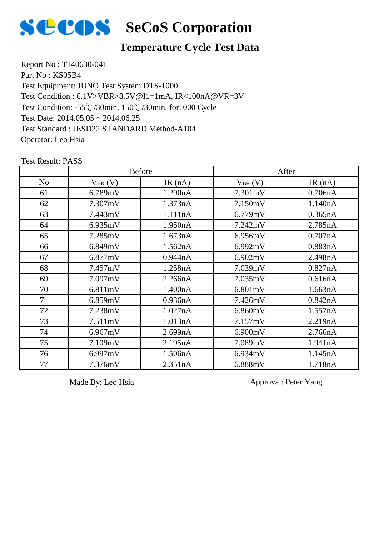

# **SECOS** SeCoS Corporation

#### **Temperature Cycle Test Data**

Report No : T140630-041 Part No: KS05B4 Test Equipment: JUNO Test System DTS-1000 Test Condition: -55℃/30min, 150℃/30min, for1000 Cycle Test Date: 2014.05.05 ~ 2014.06.25 Test Standard : JESD22 STANDARD Method-A104 Operator: Leo Hsia Test Condition : 6.1V>VBR>8.5V@I1=1mA, IR<100nA@VR=3V

|                | <b>Before</b> |           | After       |           |
|----------------|---------------|-----------|-------------|-----------|
| N <sub>o</sub> | $V_{BR}(V)$   | IR $(nA)$ | $V_{BR}(V)$ | IR $(nA)$ |
| 61             | 6.789mV       | 1.290nA   | 7.301mV     | 0.706nA   |
| 62             | 7.307mV       | 1.373nA   | 7.150mV     | 1.140nA   |
| 63             | 7.443mV       | 1.111nA   | 6.779mV     | 0.365nA   |
| 64             | 6.935mV       | 1.950nA   | 7.242mV     | 2.785nA   |
| 65             | 7.285mV       | 1.673nA   | 6.956mV     | 0.707nA   |
| 66             | 6.849mV       | 1.562nA   | 6.992mV     | 0.883nA   |
| 67             | 6.877mV       | 0.944nA   | 6.902mV     | 2.498nA   |
| 68             | 7.457mV       | 1.258nA   | 7.039mV     | 0.827nA   |
| 69             | 7.097mV       | 2.266nA   | 7.035mV     | 0.616nA   |
| 70             | 6.811mV       | 1.400nA   | 6.801mV     | 1.663nA   |
| 71             | 6.859mV       | 0.936nA   | 7.426mV     | 0.842nA   |
| 72             | 7.238mV       | 1.027nA   | 6.860mV     | 1.557nA   |
| 73             | 7.511mV       | 1.013nA   | 7.157mV     | 2.219nA   |
| 74             | 6.967mV       | 2.699nA   | 6.900mV     | 2.766nA   |
| 75             | 7.109mV       | 2.195nA   | 7.089mV     | 1.941nA   |
| 76             | 6.997mV       | 1.506nA   | 6.934mV     | 1.145nA   |
| 77             | 7.376mV       | 2.351nA   | 6.888mV     | 1.718nA   |

Test Result: PASS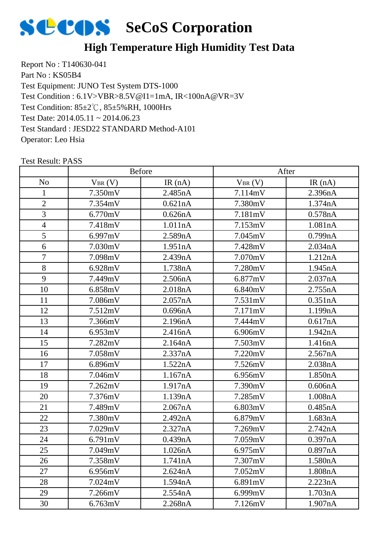

### **High Temperature High Humidity Test Data**

Report No : T140630-041 Part No: KS05B4 Test Equipment: JUNO Test System DTS-1000 Test Condition: 85±2℃, 85±5%RH, 1000Hrs Test Date: 2014.05.11 ~ 2014.06.23 Test Standard : JESD22 STANDARD Method-A101 Operator: Leo Hsia Test Condition : 6.1V>VBR>8.5V@I1=1mA, IR<100nA@VR=3V

|                |             | <b>Before</b> |             | After   |
|----------------|-------------|---------------|-------------|---------|
| N <sub>o</sub> | $V_{BR}(V)$ | IR $(nA)$     | $V_{BR}(V)$ | IR(nA)  |
| 1              | 7.350mV     | 2.485nA       | 7.114mV     | 2.396nA |
| $\overline{2}$ | 7.354mV     | 0.621nA       | 7.380mV     | 1.374nA |
| 3              | 6.770mV     | 0.626nA       | 7.181mV     | 0.578nA |
| $\overline{4}$ | 7.418mV     | 1.011nA       | 7.153mV     | 1.081nA |
| $\overline{5}$ | 6.997mV     | 2.589nA       | 7.045mV     | 0.799nA |
| 6              | 7.030mV     | 1.951nA       | 7.428mV     | 2.034nA |
| $\overline{7}$ | 7.098mV     | 2.439nA       | 7.070mV     | 1.212nA |
| 8              | 6.928mV     | 1.738nA       | 7.280mV     | 1.945nA |
| 9              | 7.449mV     | 2.506nA       | 6.877mV     | 2.037nA |
| 10             | 6.858mV     | 2.018nA       | 6.840mV     | 2.755nA |
| 11             | 7.086mV     | 2.057nA       | 7.531mV     | 0.351nA |
| 12             | 7.512mV     | 0.696nA       | 7.171mV     | 1.199nA |
| 13             | 7.366mV     | 2.196nA       | 7.444mV     | 0.617nA |
| 14             | 6.953mV     | 2.416nA       | 6.906mV     | 1.942nA |
| 15             | 7.282mV     | 2.164nA       | 7.503mV     | 1.416nA |
| 16             | 7.058mV     | 2.337nA       | 7.220mV     | 2.567nA |
| 17             | 6.896mV     | 1.522nA       | 7.526mV     | 2.038nA |
| 18             | 7.046mV     | 1.167nA       | 6.956mV     | 1.850nA |
| 19             | 7.262mV     | 1.917nA       | 7.390mV     | 0.606nA |
| 20             | 7.376mV     | 1.139nA       | 7.285mV     | 1.008nA |
| 21             | 7.489mV     | 2.067nA       | 6.803mV     | 0.485nA |
| 22             | 7.380mV     | 2.492nA       | 6.879mV     | 1.683nA |
| 23             | 7.029mV     | 2.327nA       | 7.269mV     | 2.742nA |
| 24             | 6.791mV     | 0.439nA       | 7.059mV     | 0.397nA |
| 25             | 7.049mV     | 1.026nA       | 6.975mV     | 0.897nA |
| 26             | 7.358mV     | 1.741nA       | 7.307mV     | 1.580nA |
| 27             | 6.956mV     | 2.624nA       | 7.052mV     | 1.808nA |
| 28             | 7.024mV     | 1.594nA       | 6.891mV     | 2.223nA |
| 29             | 7.266mV     | 2.554nA       | 6.999mV     | 1.703nA |
| 30             | 6.763mV     | 2.268nA       | 7.126mV     | 1.907nA |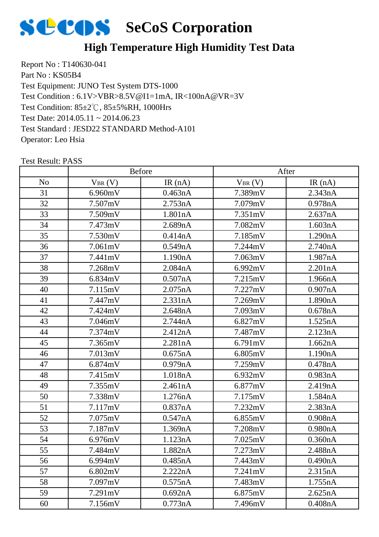

### **High Temperature High Humidity Test Data**

Report No : T140630-041 Part No: KS05B4 Test Equipment: JUNO Test System DTS-1000 Test Condition: 85±2℃, 85±5%RH, 1000Hrs Test Date: 2014.05.11 ~ 2014.06.23 Test Standard : JESD22 STANDARD Method-A101 Operator: Leo Hsia Test Condition : 6.1V>VBR>8.5V@I1=1mA, IR<100nA@VR=3V

|                |             | <b>Before</b> |             | After   |
|----------------|-------------|---------------|-------------|---------|
| N <sub>o</sub> | $V_{BR}(V)$ | IR $(nA)$     | $V_{BR}(V)$ | IR(nA)  |
| 31             | 6.960mV     | 0.463nA       | 7.389mV     | 2.343nA |
| 32             | 7.507mV     | 2.753nA       | 7.079mV     | 0.978nA |
| 33             | 7.509mV     | 1.801nA       | 7.351mV     | 2.637nA |
| 34             | 7.473mV     | 2.689nA       | 7.082mV     | 1.603nA |
| 35             | 7.530mV     | 0.414nA       | 7.185mV     | 1.290nA |
| 36             | 7.061mV     | 0.549nA       | 7.244mV     | 2.740nA |
| 37             | 7.441mV     | 1.190nA       | 7.063mV     | 1.987nA |
| 38             | 7.268mV     | 2.084nA       | 6.992mV     | 2.201nA |
| 39             | 6.834mV     | 0.507nA       | 7.215mV     | 1.966nA |
| 40             | 7.115mV     | 2.075nA       | 7.227mV     | 0.907nA |
| 41             | 7.447mV     | 2.331nA       | 7.269mV     | 1.890nA |
| 42             | 7.424mV     | 2.648nA       | 7.093mV     | 0.678nA |
| 43             | 7.046mV     | 2.744nA       | 6.827mV     | 1.525nA |
| 44             | 7.374mV     | 2.412nA       | 7.487mV     | 2.123nA |
| 45             | 7.365mV     | 2.281nA       | 6.791mV     | 1.662nA |
| 46             | 7.013mV     | 0.675nA       | 6.805mV     | 1.190nA |
| 47             | 6.874mV     | 0.979nA       | 7.259mV     | 0.478nA |
| 48             | 7.415mV     | 1.018nA       | 6.932mV     | 0.983nA |
| 49             | 7.355mV     | 2.461nA       | 6.877mV     | 2.419nA |
| 50             | 7.338mV     | 1.276nA       | 7.175mV     | 1.584nA |
| 51             | 7.117mV     | 0.837nA       | 7.232mV     | 2.383nA |
| 52             | 7.075mV     | 0.547nA       | 6.855mV     | 0.908nA |
| 53             | 7.187mV     | 1.369nA       | 7.208mV     | 0.980nA |
| 54             | 6.976mV     | 1.123nA       | 7.025mV     | 0.360nA |
| 55             | 7.484mV     | 1.882nA       | 7.273mV     | 2.488nA |
| 56             | 6.994mV     | 0.485nA       | 7.443mV     | 0.490nA |
| 57             | 6.802mV     | 2.222nA       | 7.241mV     | 2.315nA |
| 58             | 7.097mV     | 0.575nA       | 7.483mV     | 1.755nA |
| 59             | 7.291mV     | 0.692nA       | 6.875mV     | 2.625nA |
| 60             | 7.156mV     | 0.773nA       | 7.496mV     | 0.408nA |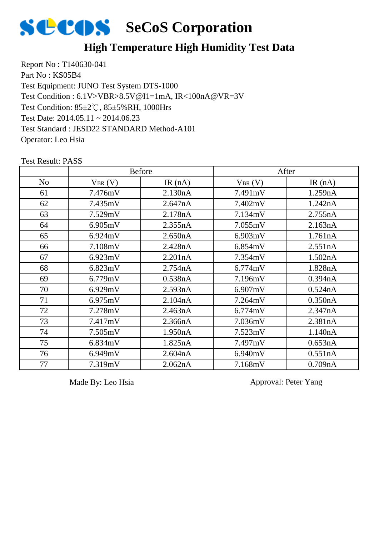

### **High Temperature High Humidity Test Data**

Report No : T140630-041 Part No: KS05B4 Test Equipment: JUNO Test System DTS-1000 Test Condition: 85±2℃, 85±5%RH, 1000Hrs Test Date: 2014.05.11 ~ 2014.06.23 Test Standard : JESD22 STANDARD Method-A101 Operator: Leo Hsia Test Condition : 6.1V>VBR>8.5V@I1=1mA, IR<100nA@VR=3V

|                | <b>Before</b> |         | After       |           |
|----------------|---------------|---------|-------------|-----------|
| N <sub>o</sub> | $V_{BR}(V)$   | IR(nA)  | $V_{BR}(V)$ | IR $(nA)$ |
| 61             | 7.476mV       | 2.130nA | 7.491mV     | 1.259nA   |
| 62             | 7.435mV       | 2.647nA | 7.402mV     | 1.242nA   |
| 63             | 7.529mV       | 2.178nA | 7.134mV     | 2.755nA   |
| 64             | 6.905mV       | 2.355nA | 7.055mV     | 2.163nA   |
| 65             | 6.924mV       | 2.650nA | 6.903mV     | 1.761nA   |
| 66             | 7.108mV       | 2.428nA | 6.854mV     | 2.551nA   |
| 67             | 6.923mV       | 2.201nA | 7.354mV     | 1.502nA   |
| 68             | 6.823mV       | 2.754nA | 6.774mV     | 1.828nA   |
| 69             | 6.779mV       | 0.538nA | 7.196mV     | 0.394nA   |
| 70             | 6.929mV       | 2.593nA | 6.907mV     | 0.524nA   |
| 71             | 6.975mV       | 2.104nA | 7.264mV     | 0.350nA   |
| 72             | 7.278mV       | 2.463nA | 6.774mV     | 2.347nA   |
| 73             | 7.417mV       | 2.366nA | 7.036mV     | 2.381nA   |
| 74             | 7.505mV       | 1.950nA | 7.523mV     | 1.140nA   |
| 75             | 6.834mV       | 1.825nA | 7.497mV     | 0.653nA   |
| 76             | 6.949mV       | 2.604nA | 6.940mV     | 0.551nA   |
| 77             | 7.319mV       | 2.062nA | 7.168mV     | 0.709nA   |

Test Result: PASS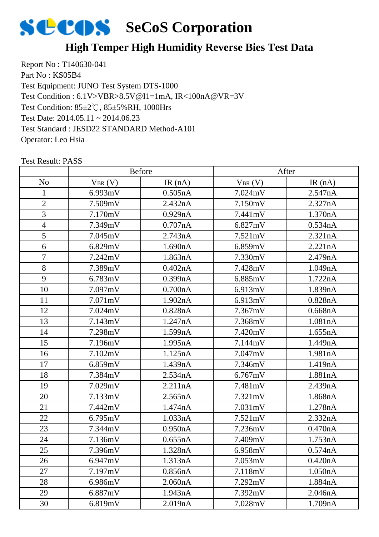

### **High Temper High Humidity Reverse Bies Test Data**

Report No : T140630-041 Part No: KS05B4 Test Equipment: JUNO Test System DTS-1000 Test Condition: 85±2℃, 85±5%RH, 1000Hrs Test Date: 2014.05.11 ~ 2014.06.23 Test Standard : JESD22 STANDARD Method-A101 Operator: Leo Hsia Test Condition : 6.1V>VBR>8.5V@I1=1mA, IR<100nA@VR=3V

|                |              | <b>Before</b> |             | After     |
|----------------|--------------|---------------|-------------|-----------|
| No             | $V_{BR} (V)$ | IR $(nA)$     | $V_{BR}(V)$ | IR $(nA)$ |
| 1              | 6.993mV      | 0.505nA       | 7.024mV     | 2.547nA   |
| $\overline{2}$ | 7.509mV      | 2.432nA       | 7.150mV     | 2.327nA   |
| 3              | 7.170mV      | 0.929nA       | 7.441mV     | 1.370nA   |
| $\overline{4}$ | 7.349mV      | 0.707nA       | 6.827mV     | 0.534nA   |
| 5              | 7.045mV      | 2.743nA       | 7.521mV     | 2.321nA   |
| 6              | 6.829mV      | 1.690nA       | 6.859mV     | 2.221nA   |
| $\tau$         | 7.242mV      | 1.863nA       | 7.330mV     | 2.479nA   |
| 8              | 7.389mV      | 0.402nA       | 7.428mV     | 1.049nA   |
| 9              | 6.783mV      | 0.399nA       | 6.885mV     | 1.722nA   |
| 10             | 7.097mV      | 0.700nA       | 6.913mV     | 1.839nA   |
| 11             | 7.071mV      | 1.902nA       | 6.913mV     | 0.828nA   |
| 12             | 7.024mV      | 0.828nA       | 7.367mV     | 0.668nA   |
| 13             | 7.143mV      | 1.247nA       | 7.368mV     | 1.081nA   |
| 14             | 7.298mV      | 1.599nA       | 7.420mV     | 1.655nA   |
| 15             | 7.196mV      | 1.995nA       | 7.144mV     | 1.449nA   |
| 16             | 7.102mV      | 1.125nA       | 7.047mV     | 1.981nA   |
| 17             | 6.859mV      | 1.439nA       | 7.346mV     | 1.419nA   |
| 18             | 7.384mV      | 2.534nA       | 6.767mV     | 1.881nA   |
| 19             | 7.029mV      | 2.211nA       | 7.481mV     | 2.439nA   |
| 20             | 7.133mV      | 2.565nA       | 7.321mV     | 1.868nA   |
| 21             | 7.442mV      | 1.474nA       | 7.031mV     | 1.278nA   |
| 22             | 6.795mV      | 1.033nA       | 7.521mV     | 2.332nA   |
| 23             | 7.344mV      | 0.950nA       | 7.236mV     | 0.470nA   |
| 24             | 7.136mV      | 0.655nA       | 7.409mV     | 1.753nA   |
| 25             | 7.396mV      | 1.328nA       | 6.958mV     | 0.574nA   |
| 26             | 6.947mV      | 1.313nA       | 7.053mV     | 0.420nA   |
| 27             | 7.197mV      | 0.856nA       | 7.118mV     | 1.050nA   |
| 28             | 6.986mV      | 2.060nA       | 7.292mV     | 1.884nA   |
| 29             | 6.887mV      | 1.943nA       | 7.392mV     | 2.046nA   |
| 30             | 6.819mV      | 2.019nA       | 7.028mV     | 1.709nA   |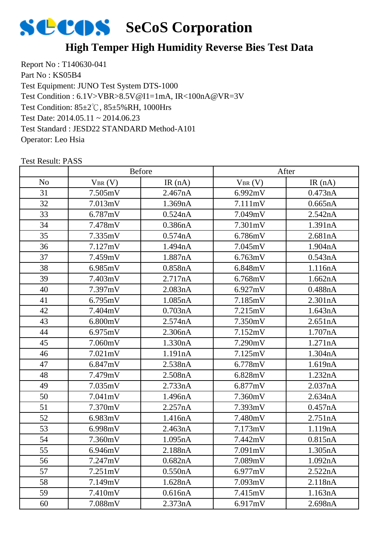

### **High Temper High Humidity Reverse Bies Test Data**

Report No : T140630-041 Part No: KS05B4 Test Equipment: JUNO Test System DTS-1000 Test Condition: 85±2℃, 85±5%RH, 1000Hrs Test Date: 2014.05.11 ~ 2014.06.23 Test Standard : JESD22 STANDARD Method-A101 Operator: Leo Hsia Test Condition : 6.1V>VBR>8.5V@I1=1mA, IR<100nA@VR=3V

|                |                   | <b>Before</b> |             | After   |
|----------------|-------------------|---------------|-------------|---------|
| N <sub>o</sub> | $V_{BR}(V)$       | IR $(nA)$     | $V_{BR}(V)$ | IR(nA)  |
| 31             | 7.505mV           | 2.467nA       | 6.992mV     | 0.473nA |
| 32             | 7.013mV           | 1.369nA       | 7.111mV     | 0.665nA |
| 33             | 6.787mV           | 0.524nA       | 7.049mV     | 2.542nA |
| 34             | 7.478mV           | 0.386nA       | 7.301mV     | 1.391nA |
| 35             | 7.335mV           | 0.574nA       | 6.786mV     | 2.681nA |
| 36             | 7.127mV           | 1.494nA       | 7.045mV     | 1.904nA |
| 37             | 7.459mV           | 1.887nA       | 6.763mV     | 0.543nA |
| 38             | 6.985mV           | 0.858nA       | 6.848mV     | 1.116nA |
| 39             | 7.403mV           | 2.717nA       | 6.768mV     | 1.662nA |
| 40             | 7.397mV           | 2.083nA       | 6.927mV     | 0.488nA |
| 41             | 6.795mV           | 1.085nA       | 7.185mV     | 2.301nA |
| 42             | 7.404mV           | 0.703nA       | 7.215mV     | 1.643nA |
| 43             | 6.800mV           | 2.574nA       | 7.350mV     | 2.651nA |
| 44             | 6.975mV           | 2.306nA       | 7.152mV     | 1.707nA |
| 45             | 7.060mV           | 1.330nA       | 7.290mV     | 1.271nA |
| 46             | $7.021 \text{mV}$ | 1.191nA       | 7.125mV     | 1.304nA |
| 47             | 6.847mV           | 2.538nA       | 6.778mV     | 1.619nA |
| 48             | 7.479mV           | 2.508nA       | 6.828mV     | 1.232nA |
| 49             | 7.035mV           | 2.733nA       | 6.877mV     | 2.037nA |
| 50             | 7.041mV           | 1.496nA       | 7.360mV     | 2.634nA |
| 51             | 7.370mV           | 2.257nA       | 7.393mV     | 0.457nA |
| 52             | 6.983mV           | 1.416nA       | 7.480mV     | 2.751nA |
| 53             | 6.998mV           | 2.463nA       | 7.173mV     | 1.119nA |
| 54             | 7.360mV           | 1.095nA       | 7.442mV     | 0.815nA |
| 55             | 6.946mV           | 2.188nA       | 7.091mV     | 1.305nA |
| 56             | 7.247mV           | 0.682nA       | 7.089mV     | 1.092nA |
| 57             | 7.251mV           | 0.550nA       | 6.977mV     | 2.522nA |
| 58             | 7.149mV           | 1.628nA       | 7.093mV     | 2.118nA |
| 59             | 7.410mV           | 0.616nA       | 7.415mV     | 1.163nA |
| 60             | 7.088mV           | 2.373nA       | 6.917mV     | 2.698nA |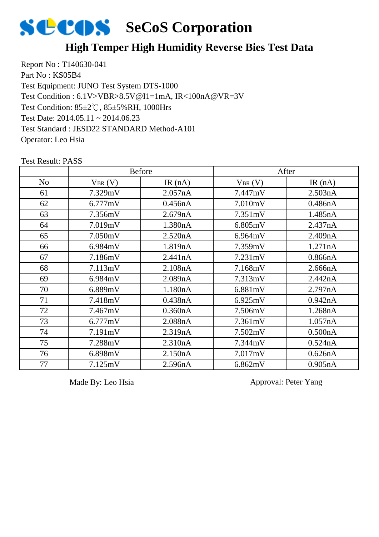

#### **High Temper High Humidity Reverse Bies Test Data**

Report No : T140630-041 Part No: KS05B4 Test Equipment: JUNO Test System DTS-1000 Test Condition: 85±2℃, 85±5%RH, 1000Hrs Test Date: 2014.05.11 ~ 2014.06.23 Test Standard : JESD22 STANDARD Method-A101 Operator: Leo Hsia Test Condition : 6.1V>VBR>8.5V@I1=1mA, IR<100nA@VR=3V

|                | <b>Before</b> |         | After       |         |
|----------------|---------------|---------|-------------|---------|
| N <sub>o</sub> | $V_{BR}(V)$   | IR(nA)  | $V_{BR}(V)$ | IR(nA)  |
| 61             | 7.329mV       | 2.057nA | 7.447mV     | 2.503nA |
| 62             | 6.777mV       | 0.456nA | 7.010mV     | 0.486nA |
| 63             | 7.356mV       | 2.679nA | 7.351mV     | 1.485nA |
| 64             | 7.019mV       | 1.380nA | 6.805mV     | 2.437nA |
| 65             | 7.050mV       | 2.520nA | 6.964mV     | 2.409nA |
| 66             | 6.984mV       | 1.819nA | 7.359mV     | 1.271nA |
| 67             | 7.186mV       | 2.441nA | 7.231mV     | 0.866nA |
| 68             | 7.113mV       | 2.108nA | 7.168mV     | 2.666nA |
| 69             | 6.984mV       | 2.089nA | 7.313mV     | 2.442nA |
| 70             | 6.889mV       | 1.180nA | 6.881mV     | 2.797nA |
| 71             | 7.418mV       | 0.438nA | 6.925mV     | 0.942nA |
| 72             | 7.467mV       | 0.360nA | 7.506mV     | 1.268nA |
| 73             | 6.777mV       | 2.088nA | 7.361mV     | 1.057nA |
| 74             | 7.191mV       | 2.319nA | 7.502mV     | 0.500nA |
| 75             | 7.288mV       | 2.310nA | 7.344mV     | 0.524nA |
| 76             | 6.898mV       | 2.150nA | 7.017mV     | 0.626nA |
| 77             | 7.125mV       | 2.596nA | 6.862mV     | 0.905nA |

Test Result: PASS